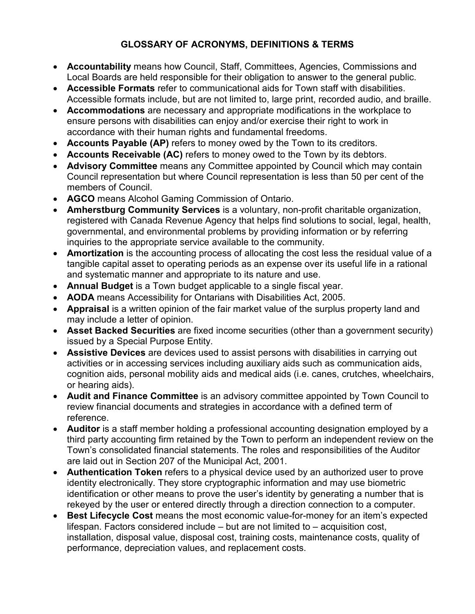## **GLOSSARY OF ACRONYMS, DEFINITIONS & TERMS**

- **Accountability** means how Council, Staff, Committees, Agencies, Commissions and Local Boards are held responsible for their obligation to answer to the general public.
- **Accessible Formats** refer to communicational aids for Town staff with disabilities. Accessible formats include, but are not limited to, large print, recorded audio, and braille.
- **Accommodations** are necessary and appropriate modifications in the workplace to ensure persons with disabilities can enjoy and/or exercise their right to work in accordance with their human rights and fundamental freedoms.
- **Accounts Payable (AP)** refers to money owed by the Town to its creditors.
- **Accounts Receivable (AC)** refers to money owed to the Town by its debtors.
- **Advisory Committee** means any Committee appointed by Council which may contain Council representation but where Council representation is less than 50 per cent of the members of Council.
- **AGCO** means Alcohol Gaming Commission of Ontario.
- **Amherstburg Community Services** is a voluntary, non-profit charitable organization, registered with Canada Revenue Agency that helps find solutions to social, legal, health, governmental, and environmental problems by providing information or by referring inquiries to the appropriate service available to the community.
- **Amortization** is the accounting process of allocating the cost less the residual value of a tangible capital asset to operating periods as an expense over its useful life in a rational and systematic manner and appropriate to its nature and use.
- **Annual Budget** is a Town budget applicable to a single fiscal year.
- **AODA** means Accessibility for Ontarians with Disabilities Act, 2005.
- **Appraisal** is a written opinion of the fair market value of the surplus property land and may include a letter of opinion.
- **Asset Backed Securities** are fixed income securities (other than a government security) issued by a Special Purpose Entity.
- **Assistive Devices** are devices used to assist persons with disabilities in carrying out activities or in accessing services including auxiliary aids such as communication aids, cognition aids, personal mobility aids and medical aids (i.e. canes, crutches, wheelchairs, or hearing aids).
- **Audit and Finance Committee** is an advisory committee appointed by Town Council to review financial documents and strategies in accordance with a defined term of reference.
- **Auditor** is a staff member holding a professional accounting designation employed by a third party accounting firm retained by the Town to perform an independent review on the Town's consolidated financial statements. The roles and responsibilities of the Auditor are laid out in Section 207 of the Municipal Act, 2001.
- **Authentication Token** refers to a physical device used by an authorized user to prove identity electronically. They store cryptographic information and may use biometric identification or other means to prove the user's identity by generating a number that is rekeyed by the user or entered directly through a direction connection to a computer.
- **Best Lifecycle Cost** means the most economic value-for-money for an item's expected lifespan. Factors considered include – but are not limited to – acquisition cost, installation, disposal value, disposal cost, training costs, maintenance costs, quality of performance, depreciation values, and replacement costs.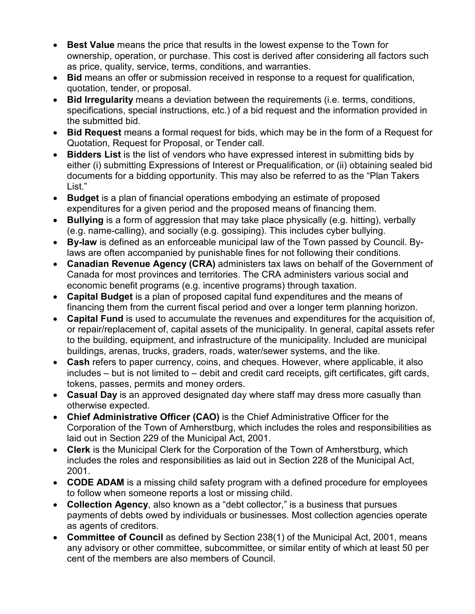- **Best Value** means the price that results in the lowest expense to the Town for ownership, operation, or purchase. This cost is derived after considering all factors such as price, quality, service, terms, conditions, and warranties.
- **Bid** means an offer or submission received in response to a request for qualification, quotation, tender, or proposal.
- **Bid Irregularity** means a deviation between the requirements (i.e. terms, conditions, specifications, special instructions, etc.) of a bid request and the information provided in the submitted bid.
- **Bid Request** means a formal request for bids, which may be in the form of a Request for Quotation, Request for Proposal, or Tender call.
- **Bidders List** is the list of vendors who have expressed interest in submitting bids by either (i) submitting Expressions of Interest or Prequalification, or (ii) obtaining sealed bid documents for a bidding opportunity. This may also be referred to as the "Plan Takers List."
- **Budget** is a plan of financial operations embodying an estimate of proposed expenditures for a given period and the proposed means of financing them.
- **Bullying** is a form of aggression that may take place physically (e.g. hitting), verbally (e.g. name-calling), and socially (e.g. gossiping). This includes cyber bullying.
- **By-law** is defined as an enforceable municipal law of the Town passed by Council. Bylaws are often accompanied by punishable fines for not following their conditions.
- **Canadian Revenue Agency (CRA)** administers tax laws on behalf of the Government of Canada for most provinces and territories. The CRA administers various social and economic benefit programs (e.g. incentive programs) through taxation.
- **Capital Budget** is a plan of proposed capital fund expenditures and the means of financing them from the current fiscal period and over a longer term planning horizon.
- **Capital Fund** is used to accumulate the revenues and expenditures for the acquisition of, or repair/replacement of, capital assets of the municipality. In general, capital assets refer to the building, equipment, and infrastructure of the municipality. Included are municipal buildings, arenas, trucks, graders, roads, water/sewer systems, and the like.
- **Cash** refers to paper currency, coins, and cheques. However, where applicable, it also includes – but is not limited to – debit and credit card receipts, gift certificates, gift cards, tokens, passes, permits and money orders.
- **Casual Day** is an approved designated day where staff may dress more casually than otherwise expected.
- **Chief Administrative Officer (CAO)** is the Chief Administrative Officer for the Corporation of the Town of Amherstburg, which includes the roles and responsibilities as laid out in Section 229 of the Municipal Act, 2001.
- **Clerk** is the Municipal Clerk for the Corporation of the Town of Amherstburg, which includes the roles and responsibilities as laid out in Section 228 of the Municipal Act, 2001.
- **CODE ADAM** is a missing child safety program with a defined procedure for employees to follow when someone reports a lost or missing child.
- **Collection Agency**, also known as a "debt collector," is a business that pursues payments of debts owed by individuals or businesses. Most collection agencies operate as agents of creditors.
- **Committee of Council** as defined by Section 238(1) of the Municipal Act, 2001, means any advisory or other committee, subcommittee, or similar entity of which at least 50 per cent of the members are also members of Council.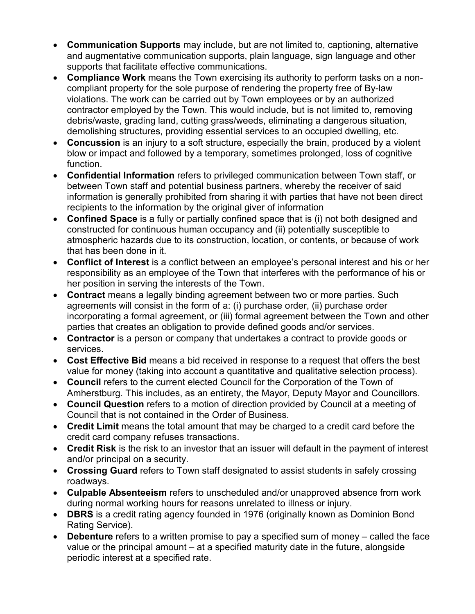- **Communication Supports** may include, but are not limited to, captioning, alternative and augmentative communication supports, plain language, sign language and other supports that facilitate effective communications.
- **Compliance Work** means the Town exercising its authority to perform tasks on a noncompliant property for the sole purpose of rendering the property free of By-law violations. The work can be carried out by Town employees or by an authorized contractor employed by the Town. This would include, but is not limited to, removing debris/waste, grading land, cutting grass/weeds, eliminating a dangerous situation, demolishing structures, providing essential services to an occupied dwelling, etc.
- **Concussion** is an injury to a soft structure, especially the brain, produced by a violent blow or impact and followed by a temporary, sometimes prolonged, loss of cognitive function.
- **Confidential Information** refers to privileged communication between Town staff, or between Town staff and potential business partners, whereby the receiver of said information is generally prohibited from sharing it with parties that have not been direct recipients to the information by the original giver of information
- **Confined Space** is a fully or partially confined space that is (i) not both designed and constructed for continuous human occupancy and (ii) potentially susceptible to atmospheric hazards due to its construction, location, or contents, or because of work that has been done in it.
- **Conflict of Interest** is a conflict between an employee's personal interest and his or her responsibility as an employee of the Town that interferes with the performance of his or her position in serving the interests of the Town.
- **Contract** means a legally binding agreement between two or more parties. Such agreements will consist in the form of a: (i) purchase order, (ii) purchase order incorporating a formal agreement, or (iii) formal agreement between the Town and other parties that creates an obligation to provide defined goods and/or services.
- **Contractor** is a person or company that undertakes a contract to provide goods or services.
- **Cost Effective Bid** means a bid received in response to a request that offers the best value for money (taking into account a quantitative and qualitative selection process).
- **Council** refers to the current elected Council for the Corporation of the Town of Amherstburg. This includes, as an entirety, the Mayor, Deputy Mayor and Councillors.
- **Council Question** refers to a motion of direction provided by Council at a meeting of Council that is not contained in the Order of Business.
- **Credit Limit** means the total amount that may be charged to a credit card before the credit card company refuses transactions.
- **Credit Risk** is the risk to an investor that an issuer will default in the payment of interest and/or principal on a security.
- **Crossing Guard** refers to Town staff designated to assist students in safely crossing roadways.
- **Culpable Absenteeism** refers to unscheduled and/or unapproved absence from work during normal working hours for reasons unrelated to illness or injury.
- **DBRS** is a credit rating agency founded in 1976 (originally known as Dominion Bond Rating Service).
- **Debenture** refers to a written promise to pay a specified sum of money called the face value or the principal amount – at a specified maturity date in the future, alongside periodic interest at a specified rate.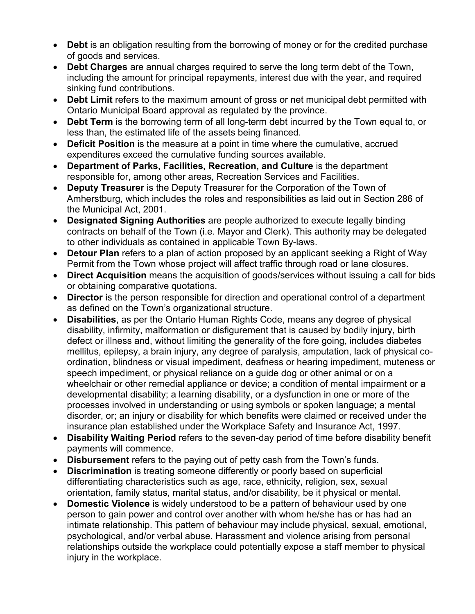- **Debt** is an obligation resulting from the borrowing of money or for the credited purchase of goods and services.
- **Debt Charges** are annual charges required to serve the long term debt of the Town, including the amount for principal repayments, interest due with the year, and required sinking fund contributions.
- **Debt Limit** refers to the maximum amount of gross or net municipal debt permitted with Ontario Municipal Board approval as regulated by the province.
- **Debt Term** is the borrowing term of all long-term debt incurred by the Town equal to, or less than, the estimated life of the assets being financed.
- **Deficit Position** is the measure at a point in time where the cumulative, accrued expenditures exceed the cumulative funding sources available.
- **Department of Parks, Facilities, Recreation, and Culture** is the department responsible for, among other areas, Recreation Services and Facilities.
- **Deputy Treasurer** is the Deputy Treasurer for the Corporation of the Town of Amherstburg, which includes the roles and responsibilities as laid out in Section 286 of the Municipal Act, 2001.
- **Designated Signing Authorities** are people authorized to execute legally binding contracts on behalf of the Town (i.e. Mayor and Clerk). This authority may be delegated to other individuals as contained in applicable Town By-laws.
- **Detour Plan** refers to a plan of action proposed by an applicant seeking a Right of Way Permit from the Town whose project will affect traffic through road or lane closures.
- **Direct Acquisition** means the acquisition of goods/services without issuing a call for bids or obtaining comparative quotations.
- **Director** is the person responsible for direction and operational control of a department as defined on the Town's organizational structure.
- **Disabilities**, as per the Ontario Human Rights Code, means any degree of physical disability, infirmity, malformation or disfigurement that is caused by bodily injury, birth defect or illness and, without limiting the generality of the fore going, includes diabetes mellitus, epilepsy, a brain injury, any degree of paralysis, amputation, lack of physical coordination, blindness or visual impediment, deafness or hearing impediment, muteness or speech impediment, or physical reliance on a guide dog or other animal or on a wheelchair or other remedial appliance or device; a condition of mental impairment or a developmental disability; a learning disability, or a dysfunction in one or more of the processes involved in understanding or using symbols or spoken language; a mental disorder, or; an injury or disability for which benefits were claimed or received under the insurance plan established under the Workplace Safety and Insurance Act, 1997.
- **Disability Waiting Period** refers to the seven-day period of time before disability benefit payments will commence.
- **Disbursement** refers to the paying out of petty cash from the Town's funds.
- **Discrimination** is treating someone differently or poorly based on superficial differentiating characteristics such as age, race, ethnicity, religion, sex, sexual orientation, family status, marital status, and/or disability, be it physical or mental.
- **Domestic Violence** is widely understood to be a pattern of behaviour used by one person to gain power and control over another with whom he/she has or has had an intimate relationship. This pattern of behaviour may include physical, sexual, emotional, psychological, and/or verbal abuse. Harassment and violence arising from personal relationships outside the workplace could potentially expose a staff member to physical injury in the workplace.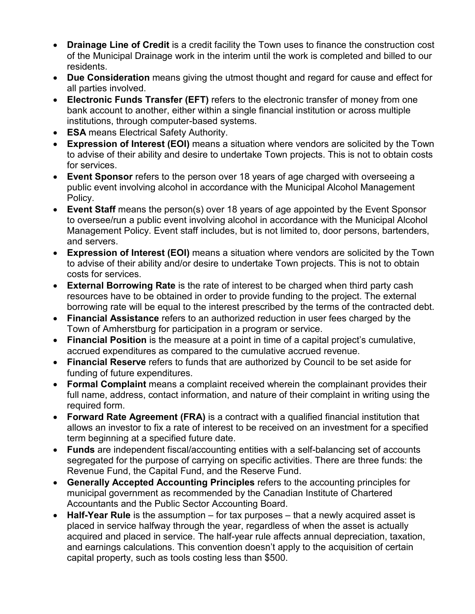- **Drainage Line of Credit** is a credit facility the Town uses to finance the construction cost of the Municipal Drainage work in the interim until the work is completed and billed to our residents.
- **Due Consideration** means giving the utmost thought and regard for cause and effect for all parties involved.
- **Electronic Funds Transfer (EFT)** refers to the electronic transfer of money from one bank account to another, either within a single financial institution or across multiple institutions, through computer-based systems.
- **ESA** means Electrical Safety Authority.
- **Expression of Interest (EOI)** means a situation where vendors are solicited by the Town to advise of their ability and desire to undertake Town projects. This is not to obtain costs for services.
- **Event Sponsor** refers to the person over 18 years of age charged with overseeing a public event involving alcohol in accordance with the Municipal Alcohol Management Policy.
- **Event Staff** means the person(s) over 18 years of age appointed by the Event Sponsor to oversee/run a public event involving alcohol in accordance with the Municipal Alcohol Management Policy. Event staff includes, but is not limited to, door persons, bartenders, and servers.
- **Expression of Interest (EOI)** means a situation where vendors are solicited by the Town to advise of their ability and/or desire to undertake Town projects. This is not to obtain costs for services.
- **External Borrowing Rate** is the rate of interest to be charged when third party cash resources have to be obtained in order to provide funding to the project. The external borrowing rate will be equal to the interest prescribed by the terms of the contracted debt.
- **Financial Assistance** refers to an authorized reduction in user fees charged by the Town of Amherstburg for participation in a program or service.
- **Financial Position** is the measure at a point in time of a capital project's cumulative, accrued expenditures as compared to the cumulative accrued revenue.
- **Financial Reserve** refers to funds that are authorized by Council to be set aside for funding of future expenditures.
- **Formal Complaint** means a complaint received wherein the complainant provides their full name, address, contact information, and nature of their complaint in writing using the required form.
- **Forward Rate Agreement (FRA)** is a contract with a qualified financial institution that allows an investor to fix a rate of interest to be received on an investment for a specified term beginning at a specified future date.
- **Funds** are independent fiscal/accounting entities with a self-balancing set of accounts segregated for the purpose of carrying on specific activities. There are three funds: the Revenue Fund, the Capital Fund, and the Reserve Fund.
- **Generally Accepted Accounting Principles** refers to the accounting principles for municipal government as recommended by the Canadian Institute of Chartered Accountants and the Public Sector Accounting Board.
- **Half-Year Rule** is the assumption for tax purposes that a newly acquired asset is placed in service halfway through the year, regardless of when the asset is actually acquired and placed in service. The half-year rule affects annual depreciation, taxation, and earnings calculations. This convention doesn't apply to the acquisition of certain capital property, such as tools costing less than \$500.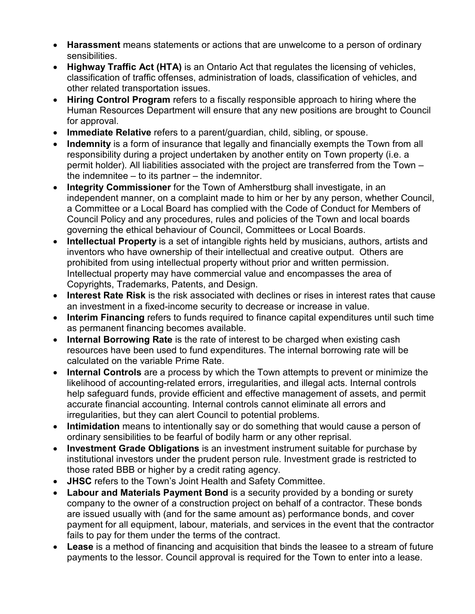- **Harassment** means statements or actions that are unwelcome to a person of ordinary sensibilities.
- **Highway Traffic Act (HTA)** is an Ontario Act that regulates the licensing of vehicles, classification of traffic offenses, administration of loads, classification of vehicles, and other related transportation issues.
- **Hiring Control Program** refers to a fiscally responsible approach to hiring where the Human Resources Department will ensure that any new positions are brought to Council for approval.
- **Immediate Relative** refers to a parent/guardian, child, sibling, or spouse.
- **Indemnity** is a form of insurance that legally and financially exempts the Town from all responsibility during a project undertaken by another entity on Town property (i.e. a permit holder). All liabilities associated with the project are transferred from the Town – the indemnitee – to its partner – the indemnitor.
- **Integrity Commissioner** for the Town of Amherstburg shall investigate, in an independent manner, on a complaint made to him or her by any person, whether Council, a Committee or a Local Board has complied with the Code of Conduct for Members of Council Policy and any procedures, rules and policies of the Town and local boards governing the ethical behaviour of Council, Committees or Local Boards.
- **Intellectual Property** is a set of intangible rights held by musicians, authors, artists and inventors who have ownership of their intellectual and creative output. Others are prohibited from using intellectual property without prior and written permission. Intellectual property may have commercial value and encompasses the area of Copyrights, Trademarks, Patents, and Design.
- **Interest Rate Risk** is the risk associated with declines or rises in interest rates that cause an investment in a fixed-income security to decrease or increase in value.
- **Interim Financing** refers to funds required to finance capital expenditures until such time as permanent financing becomes available.
- **Internal Borrowing Rate** is the rate of interest to be charged when existing cash resources have been used to fund expenditures. The internal borrowing rate will be calculated on the variable Prime Rate.
- **Internal Controls** are a process by which the Town attempts to prevent or minimize the likelihood of accounting-related errors, irregularities, and illegal acts. Internal controls help safeguard funds, provide efficient and effective management of assets, and permit accurate financial accounting. Internal controls cannot eliminate all errors and irregularities, but they can alert Council to potential problems.
- **Intimidation** means to intentionally say or do something that would cause a person of ordinary sensibilities to be fearful of bodily harm or any other reprisal.
- **Investment Grade Obligations** is an investment instrument suitable for purchase by institutional investors under the prudent person rule. Investment grade is restricted to those rated BBB or higher by a credit rating agency.
- **JHSC** refers to the Town's Joint Health and Safety Committee.
- **Labour and Materials Payment Bond** is a security provided by a bonding or surety company to the owner of a construction project on behalf of a contractor. These bonds are issued usually with (and for the same amount as) performance bonds, and cover payment for all equipment, labour, materials, and services in the event that the contractor fails to pay for them under the terms of the contract.
- **Lease** is a method of financing and acquisition that binds the leasee to a stream of future payments to the lessor. Council approval is required for the Town to enter into a lease.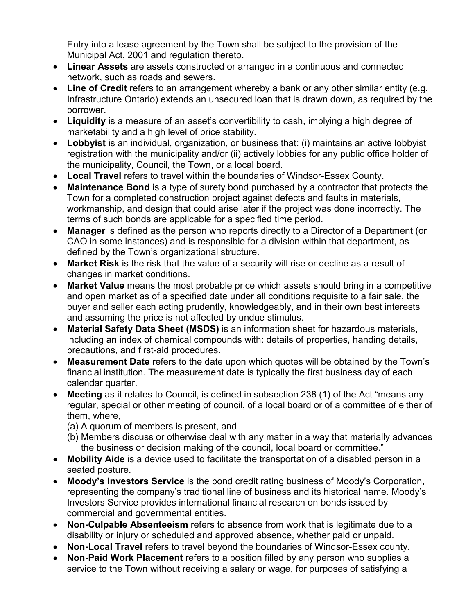Entry into a lease agreement by the Town shall be subject to the provision of the Municipal Act, 2001 and regulation thereto.

- **Linear Assets** are assets constructed or arranged in a continuous and connected network, such as roads and sewers.
- **Line of Credit** refers to an arrangement whereby a bank or any other similar entity (e.g. Infrastructure Ontario) extends an unsecured loan that is drawn down, as required by the borrower.
- **Liquidity** is a measure of an asset's convertibility to cash, implying a high degree of marketability and a high level of price stability.
- **Lobbyist** is an individual, organization, or business that: (i) maintains an active lobbyist registration with the municipality and/or (ii) actively lobbies for any public office holder of the municipality, Council, the Town, or a local board.
- **Local Travel** refers to travel within the boundaries of Windsor-Essex County.
- **Maintenance Bond** is a type of surety bond purchased by a contractor that protects the Town for a completed construction project against defects and faults in materials, workmanship, and design that could arise later if the project was done incorrectly. The terms of such bonds are applicable for a specified time period.
- **Manager** is defined as the person who reports directly to a Director of a Department (or CAO in some instances) and is responsible for a division within that department, as defined by the Town's organizational structure.
- **Market Risk** is the risk that the value of a security will rise or decline as a result of changes in market conditions.
- **Market Value** means the most probable price which assets should bring in a competitive and open market as of a specified date under all conditions requisite to a fair sale, the buyer and seller each acting prudently, knowledgeably, and in their own best interests and assuming the price is not affected by undue stimulus.
- **Material Safety Data Sheet (MSDS)** is an information sheet for hazardous materials, including an index of chemical compounds with: details of properties, handing details, precautions, and first-aid procedures.
- **Measurement Date** refers to the date upon which quotes will be obtained by the Town's financial institution. The measurement date is typically the first business day of each calendar quarter.
- **Meeting** as it relates to Council, is defined in subsection 238 (1) of the Act "means any regular, special or other meeting of council, of a local board or of a committee of either of them, where,
	- (a) A quorum of members is present, and
	- (b) Members discuss or otherwise deal with any matter in a way that materially advances the business or decision making of the council, local board or committee."
- **Mobility Aide** is a device used to facilitate the transportation of a disabled person in a seated posture.
- **Moody's Investors Service** is the bond credit rating business of Moody's Corporation, representing the company's traditional line of business and its historical name. Moody's Investors Service provides international financial research on bonds issued by commercial and governmental entities.
- **Non-Culpable Absenteeism** refers to absence from work that is legitimate due to a disability or injury or scheduled and approved absence, whether paid or unpaid.
- **Non-Local Travel** refers to travel beyond the boundaries of Windsor-Essex county.
- **Non-Paid Work Placement** refers to a position filled by any person who supplies a service to the Town without receiving a salary or wage, for purposes of satisfying a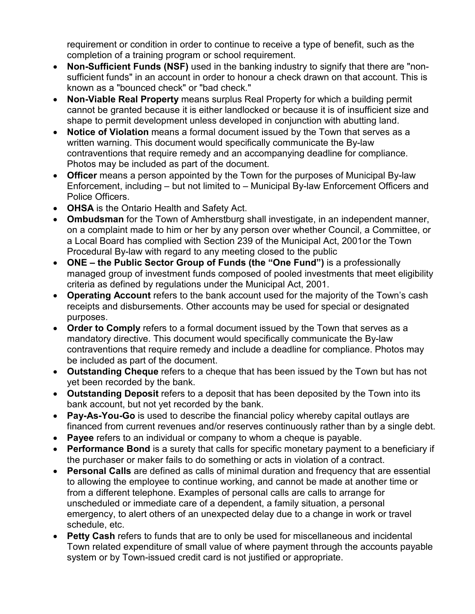requirement or condition in order to continue to receive a type of benefit, such as the completion of a training program or school requirement.

- **Non-Sufficient Funds (NSF)** used in the banking industry to signify that there are "nonsufficient funds" in an account in order to honour a check drawn on that account. This is known as a "bounced check" or "bad check."
- **Non-Viable Real Property** means surplus Real Property for which a building permit cannot be granted because it is either landlocked or because it is of insufficient size and shape to permit development unless developed in conjunction with abutting land.
- **Notice of Violation** means a formal document issued by the Town that serves as a written warning. This document would specifically communicate the By-law contraventions that require remedy and an accompanying deadline for compliance. Photos may be included as part of the document.
- **Officer** means a person appointed by the Town for the purposes of Municipal By-law Enforcement, including – but not limited to – Municipal By-law Enforcement Officers and Police Officers.
- **OHSA** is the Ontario Health and Safety Act.
- **Ombudsman** for the Town of Amherstburg shall investigate, in an independent manner, on a complaint made to him or her by any person over whether Council, a Committee, or a Local Board has complied with Section 239 of the Municipal Act, 2001or the Town Procedural By-law with regard to any meeting closed to the public
- **ONE the Public Sector Group of Funds (the "One Fund")** is a professionally managed group of investment funds composed of pooled investments that meet eligibility criteria as defined by regulations under the Municipal Act, 2001.
- **Operating Account** refers to the bank account used for the majority of the Town's cash receipts and disbursements. Other accounts may be used for special or designated purposes.
- **Order to Comply** refers to a formal document issued by the Town that serves as a mandatory directive. This document would specifically communicate the By-law contraventions that require remedy and include a deadline for compliance. Photos may be included as part of the document.
- **Outstanding Cheque** refers to a cheque that has been issued by the Town but has not yet been recorded by the bank.
- **Outstanding Deposit** refers to a deposit that has been deposited by the Town into its bank account, but not yet recorded by the bank.
- **Pay-As-You-Go** is used to describe the financial policy whereby capital outlays are financed from current revenues and/or reserves continuously rather than by a single debt.
- **Payee** refers to an individual or company to whom a cheque is payable.
- **Performance Bond** is a surety that calls for specific monetary payment to a beneficiary if the purchaser or maker fails to do something or acts in violation of a contract.
- **Personal Calls** are defined as calls of minimal duration and frequency that are essential to allowing the employee to continue working, and cannot be made at another time or from a different telephone. Examples of personal calls are calls to arrange for unscheduled or immediate care of a dependent, a family situation, a personal emergency, to alert others of an unexpected delay due to a change in work or travel schedule, etc.
- **Petty Cash** refers to funds that are to only be used for miscellaneous and incidental Town related expenditure of small value of where payment through the accounts payable system or by Town-issued credit card is not justified or appropriate.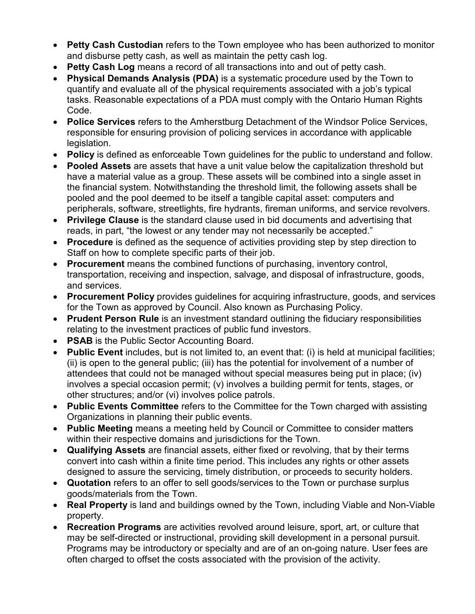- **Petty Cash Custodian** refers to the Town employee who has been authorized to monitor and disburse petty cash, as well as maintain the petty cash log.
- **Petty Cash Log** means a record of all transactions into and out of petty cash.
- **Physical Demands Analysis (PDA)** is a systematic procedure used by the Town to quantify and evaluate all of the physical requirements associated with a job's typical tasks. Reasonable expectations of a PDA must comply with the Ontario Human Rights Code.
- **Police Services** refers to the Amherstburg Detachment of the Windsor Police Services, responsible for ensuring provision of policing services in accordance with applicable legislation.
- **Policy** is defined as enforceable Town guidelines for the public to understand and follow.
- **Pooled Assets** are assets that have a unit value below the capitalization threshold but have a material value as a group. These assets will be combined into a single asset in the financial system. Notwithstanding the threshold limit, the following assets shall be pooled and the pool deemed to be itself a tangible capital asset: computers and peripherals, software, streetlights, fire hydrants, fireman uniforms, and service revolvers.
- **Privilege Clause** is the standard clause used in bid documents and advertising that reads, in part, "the lowest or any tender may not necessarily be accepted."
- **Procedure** is defined as the sequence of activities providing step by step direction to Staff on how to complete specific parts of their job.
- **Procurement** means the combined functions of purchasing, inventory control, transportation, receiving and inspection, salvage, and disposal of infrastructure, goods, and services.
- **Procurement Policy** provides guidelines for acquiring infrastructure, goods, and services for the Town as approved by Council. Also known as Purchasing Policy.
- **Prudent Person Rule** is an investment standard outlining the fiduciary responsibilities relating to the investment practices of public fund investors.
- **PSAB** is the Public Sector Accounting Board.
- **Public Event** includes, but is not limited to, an event that: (i) is held at municipal facilities; (ii) is open to the general public; (iii) has the potential for involvement of a number of attendees that could not be managed without special measures being put in place; (iv) involves a special occasion permit; (v) involves a building permit for tents, stages, or other structures; and/or (vi) involves police patrols.
- **Public Events Committee** refers to the Committee for the Town charged with assisting Organizations in planning their public events.
- **Public Meeting** means a meeting held by Council or Committee to consider matters within their respective domains and jurisdictions for the Town.
- **Qualifying Assets** are financial assets, either fixed or revolving, that by their terms convert into cash within a finite time period. This includes any rights or other assets designed to assure the servicing, timely distribution, or proceeds to security holders.
- **Quotation** refers to an offer to sell goods/services to the Town or purchase surplus goods/materials from the Town.
- **Real Property** is land and buildings owned by the Town, including Viable and Non-Viable property.
- **Recreation Programs** are activities revolved around leisure, sport, art, or culture that may be self-directed or instructional, providing skill development in a personal pursuit. Programs may be introductory or specialty and are of an on-going nature. User fees are often charged to offset the costs associated with the provision of the activity.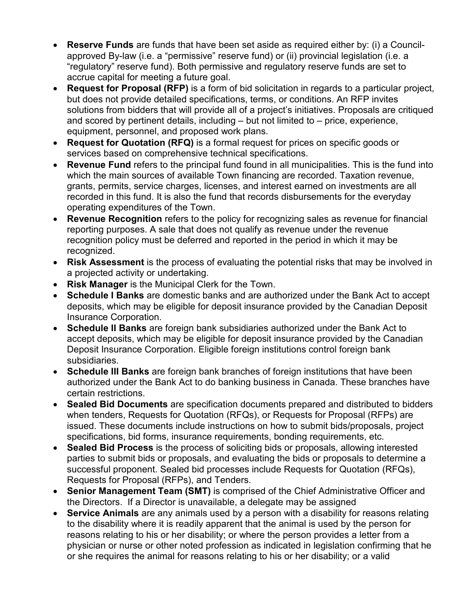- **Reserve Funds** are funds that have been set aside as required either by: (i) a Councilapproved By-law (i.e. a "permissive" reserve fund) or (ii) provincial legislation (i.e. a "regulatory" reserve fund). Both permissive and regulatory reserve funds are set to accrue capital for meeting a future goal.
- **Request for Proposal (RFP)** is a form of bid solicitation in regards to a particular project, but does not provide detailed specifications, terms, or conditions. An RFP invites solutions from bidders that will provide all of a project's initiatives. Proposals are critiqued and scored by pertinent details, including – but not limited to – price, experience, equipment, personnel, and proposed work plans.
- **Request for Quotation (RFQ)** is a formal request for prices on specific goods or services based on comprehensive technical specifications.
- **Revenue Fund** refers to the principal fund found in all municipalities. This is the fund into which the main sources of available Town financing are recorded. Taxation revenue, grants, permits, service charges, licenses, and interest earned on investments are all recorded in this fund. It is also the fund that records disbursements for the everyday operating expenditures of the Town.
- **Revenue Recognition** refers to the policy for recognizing sales as revenue for financial reporting purposes. A sale that does not qualify as revenue under the revenue recognition policy must be deferred and reported in the period in which it may be recognized.
- **Risk Assessment** is the process of evaluating the potential risks that may be involved in a projected activity or undertaking.
- **Risk Manager** is the Municipal Clerk for the Town.
- **Schedule I Banks** are domestic banks and are authorized under the Bank Act to accept deposits, which may be eligible for deposit insurance provided by the Canadian Deposit Insurance Corporation.
- **Schedule II Banks** are foreign bank subsidiaries authorized under the Bank Act to accept deposits, which may be eligible for deposit insurance provided by the Canadian Deposit Insurance Corporation. Eligible foreign institutions control foreign bank subsidiaries.
- **Schedule III Banks** are foreign bank branches of foreign institutions that have been authorized under the Bank Act to do banking business in Canada. These branches have certain restrictions.
- **Sealed Bid Documents** are specification documents prepared and distributed to bidders when tenders, Requests for Quotation (RFQs), or Requests for Proposal (RFPs) are issued. These documents include instructions on how to submit bids/proposals, project specifications, bid forms, insurance requirements, bonding requirements, etc.
- **Sealed Bid Process** is the process of soliciting bids or proposals, allowing interested parties to submit bids or proposals, and evaluating the bids or proposals to determine a successful proponent. Sealed bid processes include Requests for Quotation (RFQs), Requests for Proposal (RFPs), and Tenders.
- **Senior Management Team (SMT)** is comprised of the Chief Administrative Officer and the Directors. If a Director is unavailable, a delegate may be assigned
- **Service Animals** are any animals used by a person with a disability for reasons relating to the disability where it is readily apparent that the animal is used by the person for reasons relating to his or her disability; or where the person provides a letter from a physician or nurse or other noted profession as indicated in legislation confirming that he or she requires the animal for reasons relating to his or her disability; or a valid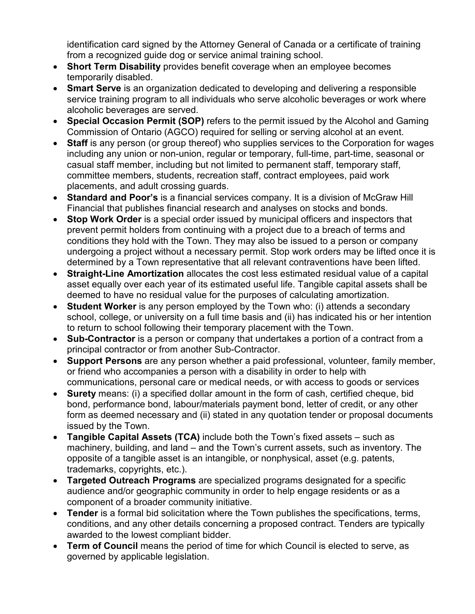identification card signed by the Attorney General of Canada or a certificate of training from a recognized guide dog or service animal training school.

- **Short Term Disability** provides benefit coverage when an employee becomes temporarily disabled.
- **Smart Serve** is an organization dedicated to developing and delivering a responsible service training program to all individuals who serve alcoholic beverages or work where alcoholic beverages are served.
- **Special Occasion Permit (SOP)** refers to the permit issued by the Alcohol and Gaming Commission of Ontario (AGCO) required for selling or serving alcohol at an event.
- **Staff** is any person (or group thereof) who supplies services to the Corporation for wages including any union or non-union, regular or temporary, full-time, part-time, seasonal or casual staff member, including but not limited to permanent staff, temporary staff, committee members, students, recreation staff, contract employees, paid work placements, and adult crossing guards.
- **Standard and Poor's** is a financial services company. It is a division of McGraw Hill Financial that publishes financial research and analyses on stocks and bonds.
- **Stop Work Order** is a special order issued by municipal officers and inspectors that prevent permit holders from continuing with a project due to a breach of terms and conditions they hold with the Town. They may also be issued to a person or company undergoing a project without a necessary permit. Stop work orders may be lifted once it is determined by a Town representative that all relevant contraventions have been lifted.
- **Straight-Line Amortization** allocates the cost less estimated residual value of a capital asset equally over each year of its estimated useful life. Tangible capital assets shall be deemed to have no residual value for the purposes of calculating amortization.
- **Student Worker** is any person employed by the Town who: (i) attends a secondary school, college, or university on a full time basis and (ii) has indicated his or her intention to return to school following their temporary placement with the Town.
- **Sub-Contractor** is a person or company that undertakes a portion of a contract from a principal contractor or from another Sub-Contractor.
- **Support Persons** are any person whether a paid professional, volunteer, family member, or friend who accompanies a person with a disability in order to help with communications, personal care or medical needs, or with access to goods or services
- **Surety** means: (i) a specified dollar amount in the form of cash, certified cheque, bid bond, performance bond, labour/materials payment bond, letter of credit, or any other form as deemed necessary and (ii) stated in any quotation tender or proposal documents issued by the Town.
- **Tangible Capital Assets (TCA)** include both the Town's fixed assets such as machinery, building, and land – and the Town's current assets, such as inventory. The opposite of a tangible asset is an intangible, or nonphysical, asset (e.g. patents, trademarks, copyrights, etc.).
- **Targeted Outreach Programs** are specialized programs designated for a specific audience and/or geographic community in order to help engage residents or as a component of a broader community initiative.
- **Tender** is a formal bid solicitation where the Town publishes the specifications, terms, conditions, and any other details concerning a proposed contract. Tenders are typically awarded to the lowest compliant bidder.
- **Term of Council** means the period of time for which Council is elected to serve, as governed by applicable legislation.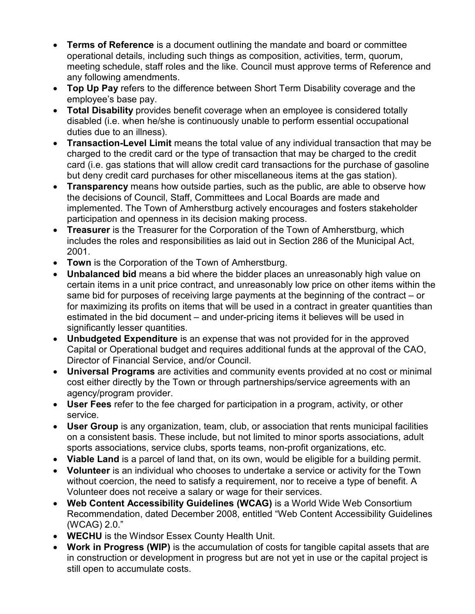- **Terms of Reference** is a document outlining the mandate and board or committee operational details, including such things as composition, activities, term, quorum, meeting schedule, staff roles and the like. Council must approve terms of Reference and any following amendments.
- **Top Up Pay** refers to the difference between Short Term Disability coverage and the employee's base pay.
- **Total Disability** provides benefit coverage when an employee is considered totally disabled (i.e. when he/she is continuously unable to perform essential occupational duties due to an illness).
- **Transaction-Level Limit** means the total value of any individual transaction that may be charged to the credit card or the type of transaction that may be charged to the credit card (i.e. gas stations that will allow credit card transactions for the purchase of gasoline but deny credit card purchases for other miscellaneous items at the gas station).
- **Transparency** means how outside parties, such as the public, are able to observe how the decisions of Council, Staff, Committees and Local Boards are made and implemented. The Town of Amherstburg actively encourages and fosters stakeholder participation and openness in its decision making process.
- **Treasurer** is the Treasurer for the Corporation of the Town of Amherstburg, which includes the roles and responsibilities as laid out in Section 286 of the Municipal Act, 2001.
- **Town** is the Corporation of the Town of Amherstburg.
- **Unbalanced bid** means a bid where the bidder places an unreasonably high value on certain items in a unit price contract, and unreasonably low price on other items within the same bid for purposes of receiving large payments at the beginning of the contract – or for maximizing its profits on items that will be used in a contract in greater quantities than estimated in the bid document – and under-pricing items it believes will be used in significantly lesser quantities.
- **Unbudgeted Expenditure** is an expense that was not provided for in the approved Capital or Operational budget and requires additional funds at the approval of the CAO, Director of Financial Service, and/or Council.
- **Universal Programs** are activities and community events provided at no cost or minimal cost either directly by the Town or through partnerships/service agreements with an agency/program provider.
- **User Fees** refer to the fee charged for participation in a program, activity, or other service.
- **User Group** is any organization, team, club, or association that rents municipal facilities on a consistent basis. These include, but not limited to minor sports associations, adult sports associations, service clubs, sports teams, non-profit organizations, etc.
- **Viable Land** is a parcel of land that, on its own, would be eligible for a building permit.
- **Volunteer** is an individual who chooses to undertake a service or activity for the Town without coercion, the need to satisfy a requirement, nor to receive a type of benefit. A Volunteer does not receive a salary or wage for their services.
- **Web Content Accessibility Guidelines (WCAG)** is a World Wide Web Consortium Recommendation, dated December 2008, entitled "Web Content Accessibility Guidelines (WCAG) 2.0."
- **WECHU** is the Windsor Essex County Health Unit.
- **Work in Progress (WIP)** is the accumulation of costs for tangible capital assets that are in construction or development in progress but are not yet in use or the capital project is still open to accumulate costs.